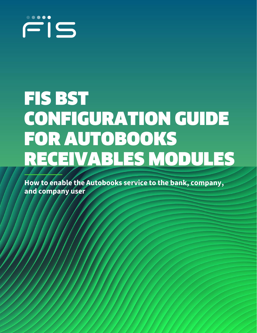

# FIS BST CONFIGURATION GUIDE FOR AUTOBOOKS RECEIVABLES MODULES

**How to enable the Autobooks service to the bank, company, and company user**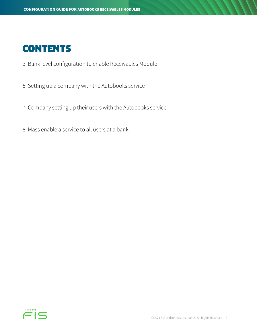## **CONTENTS**

- 3. Bank level configuration to enable Receivables Module
- 5. Setting up a company with the Autobooks service
- 7. Company setting up their users with the Autobooks service
- 8. Mass enable a service to all users at a bank

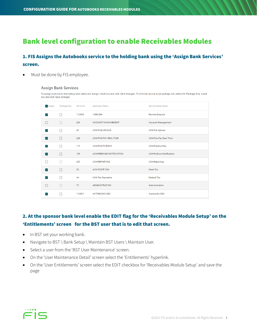## Bank level configuration to enable Receivables Modules

## 1. FIS Assigns the Autobooks service to the holding bank using the 'Assign Bank Services' screen.

Must be done by FIS employee.

#### **Assign Bank Services**

To assign a service to the holding bank select the 'Assign' check box and click 'Save Changes'. To limit the service to be package only select the 'Package Only' check box and click 'Save Changes'.

| Assign       | Package Only | Service ID | <b>Application Name</b>  | Service Display Name            |
|--------------|--------------|------------|--------------------------|---------------------------------|
| $\checkmark$ | П            | 112500     | 1CBK-DM                  | <b>Remote Deposit</b>           |
| П            | П            | 260        | ACCOUNT MANAGEMENT       | <b>Account Management</b>       |
| $\checkmark$ | П            | 69         | <b>ACH FILE UPLOAD</b>   | <b>ACH File Upload</b>          |
| $\checkmark$ | П            | 228        | ACH POS PAY REAL TIME    | <b>ACH Pos Pay Real Time</b>    |
| $\checkmark$ | П            | 113        | <b>ACH POSITIVE PAY</b>  | <b>ACH Positive Pay</b>         |
| $\checkmark$ | П            | 109        | ACH PREFUND NOTIFICATION | <b>ACH Prefund Notification</b> |
|              |              | 200        | <b>ACH REPORTING</b>     | <b>ACH Reporting</b>            |
| $\checkmark$ | П            | 50         | <b>ACH STATE TAX</b>     | <b>State Tax</b>                |
| $\checkmark$ | П            | 46         | <b>ACH Tax Payments</b>  | <b>Federal Tax</b>              |
|              | П            | 72         | <b>ADMINISTRATION</b>    | Administration                  |
| ✓            | ш            | 112501     | AUTOBOOKS SSO            | Autobooks SSO                   |

## 2. At the sponsor bank level enable the EDIT flag for the 'Receivables Module Setup' on the 'Entitlements' screen for the BST user that is to edit that screen.

- In BST set your working bank.
- Navigate to BST \ Bank Setup \ Maintain BST Users \ Maintain User.
- Select a user from the 'BST User Maintenance' screen.
- On the 'User Maintenance Detail' screen select the 'Entitlements' hyperlink.
- On the 'User Entitlements' screen select the EDIT checkbox for 'Receivables Module Setup' and save the page

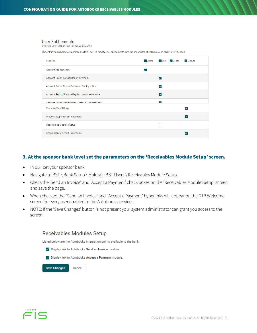#### **User Entitlements**

Selected User: DHBENNETT@FISGLOBAL.COM

The entitlements below are assigned to this user. To modify user entitlements, use the associated checkboxes and click 'Save Changes'.

| Page Title                                     |   |                          | - Create - Edit - Delete | $\equiv$ Execute |
|------------------------------------------------|---|--------------------------|--------------------------|------------------|
| <b>Account Maintenance</b>                     | ✓ |                          |                          |                  |
| Account Recon Activity Report Settings         |   | ▽                        |                          |                  |
| Account Recon Report Download Configuration    |   | ▽                        |                          |                  |
| Account Recon/Positive Pay Account Maintenance |   | ▽                        |                          |                  |
| Account Recon/Positive Pay Company Maintenance |   | $\overline{\phantom{a}}$ |                          |                  |
| <b>Process Client Billing</b>                  |   |                          |                          |                  |
| Process Stop Payment Requests                  |   |                          |                          | ✓                |
| Receivables Modules Setup                      |   |                          |                          |                  |
| Recon Activity Report Processing               |   |                          |                          |                  |

#### 3. At the sponsor bank level set the parameters on the 'Receivables Module Setup' screen.

- In BST set your sponsor bank.
- Navigate to BST \ Bank Setup \ Maintain BST Users \ Receivables Module Setup.
- Check the 'Send an Invoice' and 'Accept a Payment' check boxes on the 'Receivables Module Setup' screen and save the page.
- When checked the "Send an Invoice' and "Accept a Payment' hyperlinks will appear on the D1B Welcome screen for every user enabled to the Autobooks services.
- NOTE: If the 'Save Changes' button is not present your system administrator can grant you access to the screen.



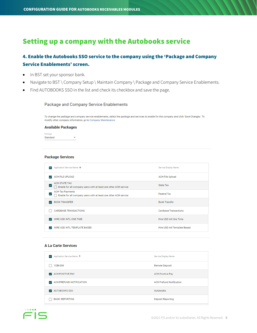## Setting up a company with the Autobooks service

## 4. Enable the Autobooks SSO service to the company using the 'Package and Company Service Enablements' screen.

- In BST set your sponsor bank.
- Navigate to BST \ Company Setup \ Maintain Company \ Package and Company Service Enablements.
- Find AUTOBOOKS SSO in the list and check its checkbox and save the page.

#### Package and Company Service Enablements

To change the package and company service enablements, select the package and services to enable for the company and click 'Save Changes'. To modify other company information, go to Company Maintenance.

#### **Available Packages**

Package Standard  $\overline{\phantom{a}}$ 

#### **Package Services**

| Application Service Name +<br>-                                                                  | Service Display Name         |
|--------------------------------------------------------------------------------------------------|------------------------------|
| <b>ACH FILE UPLOAD</b><br>$\checkmark$                                                           | <b>ACH File Upload</b>       |
| <b>ACH STATE TAX</b><br>✓<br>Enable for all company users with at least one other ACH service    | State Tax                    |
| <b>ACH Tax Payments</b><br>⊻<br>Enable for all company users with at least one other ACH service | <b>Federal Tax</b>           |
| <b>BOOK TRANSFER</b><br>$\checkmark$                                                             | <b>Book Transfer</b>         |
|                                                                                                  |                              |
| <b>CARDBASE TRANSACTIONS</b>                                                                     | <b>Cardbase Transactions</b> |
| WIRE USD INTL ONE TIME<br>$\checkmark$                                                           | Wire USD Intl One Time       |

#### **A La Carte Services**

| Application Service Name +          | Service Display Name            |
|-------------------------------------|---------------------------------|
| 1CBK-DM                             | <b>Remote Deposit</b>           |
| ACH POSITIVE PAY                    | <b>ACH Positive Pay</b>         |
| $\sqrt{ }$ ACH PREFUND NOTIFICATION | <b>ACH Prefund Notification</b> |
| AUTOBOOKS SSO<br>$\checkmark$       | Autobooks                       |
| <b>BASIC REPORTING</b>              | Deposit Reporting               |

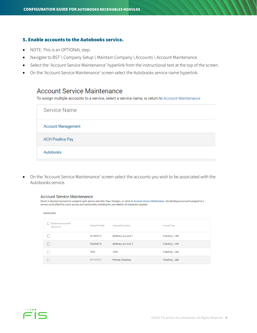#### 5. Enable accounts to the Autobooks service.

- NOTE: This is an OPTIONAL step.
- Navigate to BST \ Company Setup \ Maintain Company \ Accounts \ Account Maintenance.
- Select the 'Account Service Maintenance' hyperlink from the instructional text at the top of the screen.
- On the 'Account Service Maintenance' screen select the Autobooks service name hyperlink.

## **Account Service Maintenance**

To assign multiple accounts to a service, select a service name, or return to Account Maintenance

| <b>Service Name</b>       |  |  |
|---------------------------|--|--|
| <b>Account Management</b> |  |  |
| <b>ACH Positive Pay</b>   |  |  |
| Autobooks                 |  |  |

• On the 'Account Service Maintenance' screen select the accounts you wish to be associated with the Autobooks service.

#### **Account Service Maintenance**

Select or deselect accounts to assign to each service and click 'Save Changes', or return to Account Service Maintenance. Deselecting an account assigned to a service could affect the user's access and functionality, including the cancellation of scheduled requests.

| Autobooks                             |                       |                            |                |  |  |  |
|---------------------------------------|-----------------------|----------------------------|----------------|--|--|--|
| Enable the account for<br>the service | <b>Account Number</b> | <b>Account Description</b> | Account Type   |  |  |  |
|                                       | 141001012             | eDelivery, account 1       | Checking - USD |  |  |  |
|                                       | 154004318             | eDelivery, account 2       | Checking - USD |  |  |  |
|                                       | 7595                  | 7595                       | Checking - USD |  |  |  |
|                                       | 111111111             | <b>Primary Checking</b>    | Checking - USD |  |  |  |
|                                       |                       |                            |                |  |  |  |

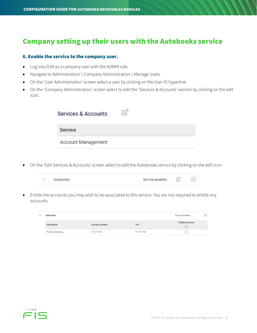## Company setting up their users with the Autobooks service

#### 6. Enable the service to the company user.

- Log into D1B as a company user with the ADMIN role.
- Navigate to Administration \ Company Administration \ Manage Users.
- On the 'User Administration' screen select a user by clicking on the User ID hyperlink.
- On the 'Company Administration' screen select to edit the 'Services & Accounts' section by clicking on the edit icon.

| <b>Services &amp; Accounts</b> |  |
|--------------------------------|--|
| <b>Service</b>                 |  |
| <b>Account Management</b>      |  |

• On the 'Edit Services & Accounts' screen select to edit the Autobooks service by clicking on the edit icon.

| ✓ Autobooks | Service enabled. $\Box$ $\Diamond$ |  |
|-------------|------------------------------------|--|
|-------------|------------------------------------|--|

• Entitle the accounts you may wish to be associated to this service. You are not required to entitle any accounts.

| <b>Autobooks</b>        |                       |            | Service enabled.        | $(\times)$ |
|-------------------------|-----------------------|------------|-------------------------|------------|
| <b>Description</b>      | <b>Account Number</b> | <b>TRC</b> | <b>Entitled Account</b> |            |
| <b>Primary Checking</b> | 111111111             | 111111118  |                         |            |

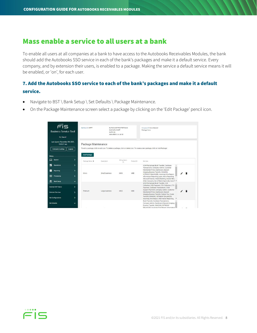## Mass enable a service to all users at a bank

To enable all users at all companies at a bank to have access to the Autobooks Receivables Modules, the bank should add the Autobooks SSO service in each of the bank's packages and make it a default service. Every company, and by extension their users, is enabled to a package. Making the service a default service means it will be enabled, or 'on', for each user.

### 7. Add the Autobooks SSO service to each of the bank's packages and make it a default service.

- Navigate to BST \ Bank Setup \ Set Defaults \ Package Maintenance.
- On the Package Maintenance screen select a package by clicking on the 'Edit Package' pencil icon.

| 100000<br>FIS<br><b>Business Service Tool</b><br>Hi, Daniel!                       | Bell Rank ID: RPPT                                                       | 5430 DATA COURT<br>SUITE 100 | BA PACKAGE PROD TEST BANK<br>ANN ARBOR, MI 48108 |            | Company ID: None Selected<br>Package: None                                                                                                                                                                                                                                                                                                                            |
|------------------------------------------------------------------------------------|--------------------------------------------------------------------------|------------------------------|--------------------------------------------------|------------|-----------------------------------------------------------------------------------------------------------------------------------------------------------------------------------------------------------------------------------------------------------------------------------------------------------------------------------------------------------------------|
| Last signon: November 9th 2021,<br>10:52:21 am<br><b>Company Lookup</b><br>Logout  | Package Maintenance                                                      |                              |                                                  |            | To edit a package, click on edit icon. To delete a package, click on delete icon. To create a new package, click on 'Add Package'.                                                                                                                                                                                                                                    |
| Menu                                                                               | <b>Add Package</b>                                                       |                              |                                                  |            |                                                                                                                                                                                                                                                                                                                                                                       |
| System                                                                             | $\rightarrow$<br>Package Name +                                          | Description                  | Billing Matrix<br>15                             | Product ID | Services                                                                                                                                                                                                                                                                                                                                                              |
| 5<br>Operations<br>м<br>Reporting<br>⊡<br>Processing<br><b>Bank Setup</b><br>而     | $\rightarrow$<br>$\rightarrow$<br>Micro<br>$\rightarrow$<br>$\checkmark$ | Small business               | 6000                                             | WEB        | ACH File Upload, Book Transfer, Cardbase<br>Transactions, Company Admin, Customer<br>Maintained Wires, Dashboard, Deposit<br>Imaging, Express Transfer, IMAGING.<br>面<br>INTRADAY BALANCES, Incoming Wire Report,<br>Information Reporting, Loan, Micro Reporting,<br>Microsoft Money, Mobile Banking, Mobile RDC.<br>Other Accounts, Out of Band Approvals, Out of Y |
| <b>Maintain BST Users</b><br><b>Maintain Services</b><br><b>Set Configurations</b> | $\rightarrow$<br>Premium<br>$\rightarrow$<br>>                           | Large business               | 6002                                             | WEB        | ACH File Upload, Book Transfer, CCD<br>Collection, CCD Payment, CTX Collection, CTX<br>Payment, Cardbase Transactions, Child<br>Support Payment, Company Admin, Customer<br>Maintained Wires, Dashboard, Deposit<br>Imaging, Express Transfer, Federal Tax, Funds<br>Transfer, IMAGING, INTRADAY BALANCES,<br>Incoming Wire Report, Information Reporting.            |
| <b>Set Defaults</b>                                                                | $\check{ }$                                                              |                              |                                                  |            | Book Transfer, Cardbase Transactions.<br>Company Admin, Dashboard, Deposit Imaging,<br>Express Transfer, IMAGING, INTRADAY<br>BALANCES Incoming Wire Report Information                                                                                                                                                                                               |